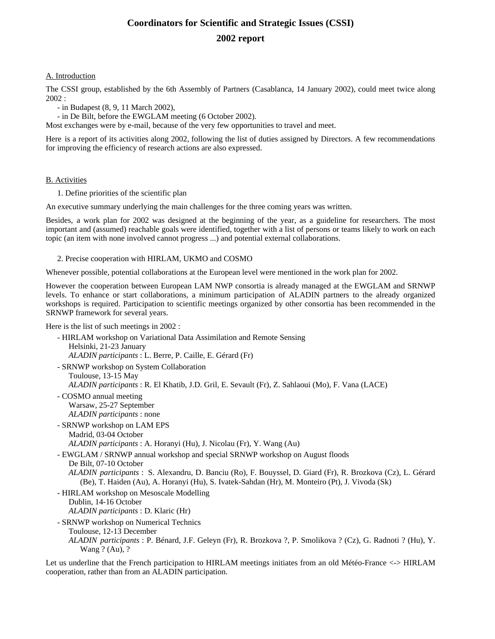# **Coordinators for Scientific and Strategic Issues (CSSI) 2002 report**

# A. Introduction

The CSSI group, established by the 6th Assembly of Partners (Casablanca, 14 January 2002), could meet twice along 2002 :

- in Budapest (8, 9, 11 March 2002),

- in De Bilt, before the EWGLAM meeting (6 October 2002).

Most exchanges were by e-mail, because of the very few opportunities to travel and meet.

Here is a report of its activities along 2002, following the list of duties assigned by Directors. A few recommendations for improving the efficiency of research actions are also expressed.

#### B. Activities

1. Define priorities of the scientific plan

An executive summary underlying the main challenges for the three coming years was written.

Besides, a work plan for 2002 was designed at the beginning of the year, as a guideline for researchers. The most important and (assumed) reachable goals were identified, together with a list of persons or teams likely to work on each topic (an item with none involved cannot progress ...) and potential external collaborations.

2. Precise cooperation with HIRLAM, UKMO and COSMO

Whenever possible, potential collaborations at the European level were mentioned in the work plan for 2002.

However the cooperation between European LAM NWP consortia is already managed at the EWGLAM and SRNWP levels. To enhance or start collaborations, a minimum participation of ALADIN partners to the already organized workshops is required. Participation to scientific meetings organized by other consortia has been recommended in the SRNWP framework for several years.

Here is the list of such meetings in 2002 :

- HIRLAM workshop on Variational Data Assimilation and Remote Sensing Helsinki, 21-23 January *ALADIN participants* : L. Berre, P. Caille, E. Gérard (Fr) - SRNWP workshop on System Collaboration Toulouse, 13-15 May *ALADIN participants* : R. El Khatib, J.D. Gril, E. Sevault (Fr), Z. Sahlaoui (Mo), F. Vana (LACE) - COSMO annual meeting Warsaw, 25-27 September *ALADIN participants* : none - SRNWP workshop on LAM EPS Madrid, 03-04 October *ALADIN participants* : A. Horanyi (Hu), J. Nicolau (Fr), Y. Wang (Au) - EWGLAM / SRNWP annual workshop and special SRNWP workshop on August floods De Bilt, 07-10 October *ALADIN participants* : S. Alexandru, D. Banciu (Ro), F. Bouyssel, D. Giard (Fr), R. Brozkova (Cz), L. Gérard (Be), T. Haiden (Au), A. Horanyi (Hu), S. Ivatek-Sahdan (Hr), M. Monteiro (Pt), J. Vivoda (Sk) - HIRLAM workshop on Mesoscale Modelling Dublin, 14-16 October *ALADIN participants* : D. Klaric (Hr) - SRNWP workshop on Numerical Technics Toulouse, 12-13 December *ALADIN participants* : P. Bénard, J.F. Geleyn (Fr), R. Brozkova ?, P. Smolikova ? (Cz), G. Radnoti ? (Hu), Y. Wang ? (Au), ?

Let us underline that the French participation to HIRLAM meetings initiates from an old Météo-France <-> HIRLAM cooperation, rather than from an ALADIN participation.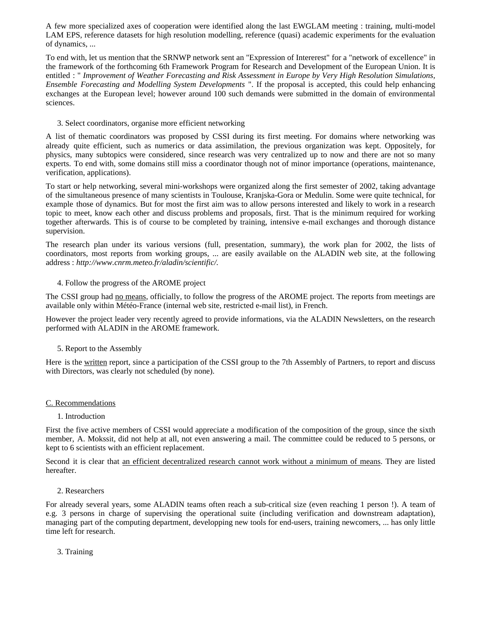A few more specialized axes of cooperation were identified along the last EWGLAM meeting : training, multi-model LAM EPS, reference datasets for high resolution modelling, reference (quasi) academic experiments for the evaluation of dynamics, ...

To end with, let us mention that the SRNWP network sent an "Expression of Intererest" for a "network of excellence" in the framework of the forthcoming 6th Framework Program for Research and Development of the European Union. It is entitled : " *Improvement of Weather Forecasting and Risk Assessment in Europe by Very High Resolution Simulations, Ensemble Forecasting and Modelling System Developments* ". If the proposal is accepted, this could help enhancing exchanges at the European level; however around 100 such demands were submitted in the domain of environmental sciences.

3. Select coordinators, organise more efficient networking

A list of thematic coordinators was proposed by CSSI during its first meeting. For domains where networking was already quite efficient, such as numerics or data assimilation, the previous organization was kept. Oppositely, for physics, many subtopics were considered, since research was very centralized up to now and there are not so many experts. To end with, some domains still miss a coordinator though not of minor importance (operations, maintenance, verification, applications).

To start or help networking, several mini-workshops were organized along the first semester of 2002, taking advantage of the simultaneous presence of many scientists in Toulouse, Kranjska-Gora or Medulin. Some were quite technical, for example those of dynamics. But for most the first aim was to allow persons interested and likely to work in a research topic to meet, know each other and discuss problems and proposals, first. That is the minimum required for working together afterwards. This is of course to be completed by training, intensive e-mail exchanges and thorough distance supervision.

The research plan under its various versions (full, presentation, summary), the work plan for 2002, the lists of coordinators, most reports from working groups, ... are easily available on the ALADIN web site, at the following address : *http://www.cnrm.meteo.fr/aladin/scientific/.*

#### 4. Follow the progress of the AROME project

The CSSI group had no means, officially, to follow the progress of the AROME project. The reports from meetings are available only within Météo-France (internal web site, restricted e-mail list), in French.

However the project leader very recently agreed to provide informations, via the ALADIN Newsletters, on the research performed with ALADIN in the AROME framework.

# 5. Report to the Assembly

Here is the written report, since a participation of the CSSI group to the 7th Assembly of Partners, to report and discuss with Directors, was clearly not scheduled (by none).

#### C. Recommendations

#### 1. Introduction

First the five active members of CSSI would appreciate a modification of the composition of the group, since the sixth member, A. Mokssit, did not help at all, not even answering a mail. The committee could be reduced to 5 persons, or kept to 6 scientists with an efficient replacement.

Second it is clear that an efficient decentralized research cannot work without a minimum of means. They are listed hereafter.

#### 2. Researchers

For already several years, some ALADIN teams often reach a sub-critical size (even reaching 1 person !). A team of e.g. 3 persons in charge of supervising the operational suite (including verification and downstream adaptation), managing part of the computing department, developping new tools for end-users, training newcomers, ... has only little time left for research.

3. Training